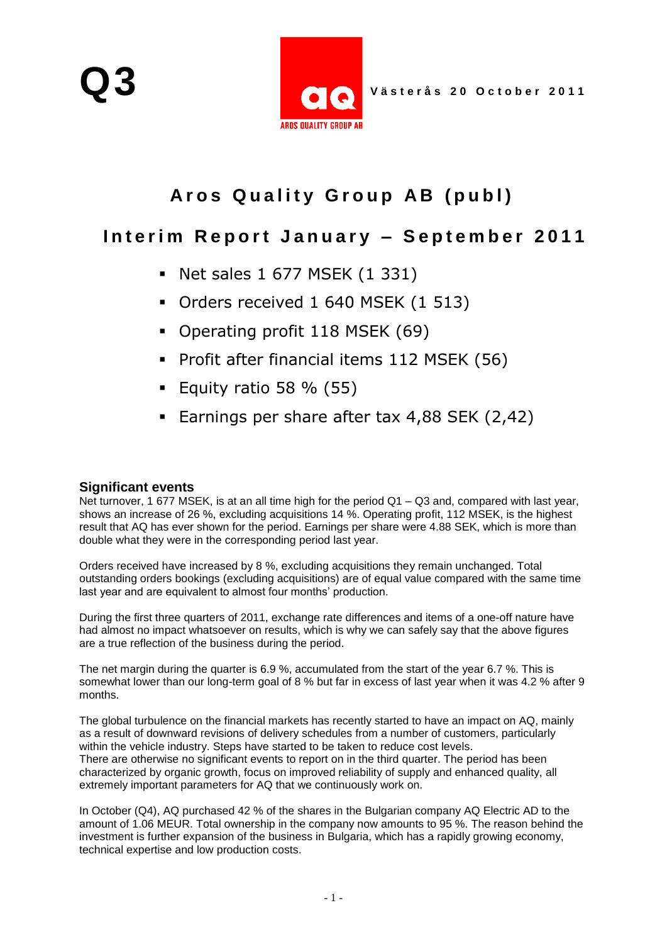

# Aros Quality Group AB (publ)

## Interim Report January - September 2011

- Net sales 1 677 MSEK (1 331)
- Orders received 1 640 MSEK (1 513)
- Operating profit 118 MSEK (69)
- Profit after financial items 112 MSEK (56)
- Equity ratio 58  $%$  (55)
- Earnings per share after tax 4,88 SEK (2,42)

### **Significant events**

Net turnover, 1 677 MSEK, is at an all time high for the period Q1 – Q3 and, compared with last year, shows an increase of 26 %, excluding acquisitions 14 %. Operating profit, 112 MSEK, is the highest result that AQ has ever shown for the period. Earnings per share were 4.88 SEK, which is more than double what they were in the corresponding period last year.

Orders received have increased by 8 %, excluding acquisitions they remain unchanged. Total outstanding orders bookings (excluding acquisitions) are of equal value compared with the same time last year and are equivalent to almost four months' production.

During the first three quarters of 2011, exchange rate differences and items of a one-off nature have had almost no impact whatsoever on results, which is why we can safely say that the above figures are a true reflection of the business during the period.

The net margin during the quarter is 6.9 %, accumulated from the start of the year 6.7 %. This is somewhat lower than our long-term goal of 8 % but far in excess of last year when it was 4.2 % after 9 months.

The global turbulence on the financial markets has recently started to have an impact on AQ, mainly as a result of downward revisions of delivery schedules from a number of customers, particularly within the vehicle industry. Steps have started to be taken to reduce cost levels. There are otherwise no significant events to report on in the third quarter. The period has been characterized by organic growth, focus on improved reliability of supply and enhanced quality, all extremely important parameters for AQ that we continuously work on.

In October (Q4), AQ purchased 42 % of the shares in the Bulgarian company AQ Electric AD to the amount of 1.06 MEUR. Total ownership in the company now amounts to 95 %. The reason behind the investment is further expansion of the business in Bulgaria, which has a rapidly growing economy, technical expertise and low production costs.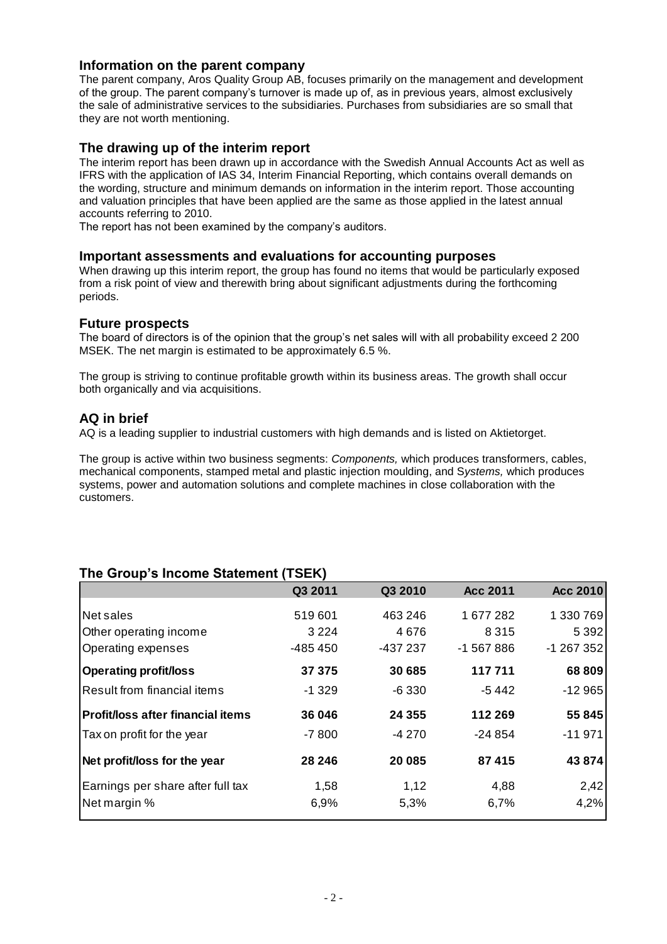### **Information on the parent company**

The parent company, Aros Quality Group AB, focuses primarily on the management and development of the group. The parent company's turnover is made up of, as in previous years, almost exclusively the sale of administrative services to the subsidiaries. Purchases from subsidiaries are so small that they are not worth mentioning.

### **The drawing up of the interim report**

The interim report has been drawn up in accordance with the Swedish Annual Accounts Act as well as IFRS with the application of IAS 34, Interim Financial Reporting, which contains overall demands on the wording, structure and minimum demands on information in the interim report. Those accounting and valuation principles that have been applied are the same as those applied in the latest annual accounts referring to 2010.

The report has not been examined by the company's auditors.

#### **Important assessments and evaluations for accounting purposes**

When drawing up this interim report, the group has found no items that would be particularly exposed from a risk point of view and therewith bring about significant adjustments during the forthcoming periods.

### **Future prospects**

The board of directors is of the opinion that the group's net sales will with all probability exceed 2 200 MSEK. The net margin is estimated to be approximately 6.5 %.

The group is striving to continue profitable growth within its business areas. The growth shall occur both organically and via acquisitions.

### **AQ in brief**

AQ is a leading supplier to industrial customers with high demands and is listed on Aktietorget.

The group is active within two business segments: *Components,* which produces transformers, cables, mechanical components, stamped metal and plastic injection moulding, and S*ystems,* which produces systems, power and automation solutions and complete machines in close collaboration with the customers.

## **The Group's Income Statement (TSEK)**

|                                          | Q3 2011   | Q3 2010  | <b>Acc 2011</b> | <b>Acc 2010</b> |
|------------------------------------------|-----------|----------|-----------------|-----------------|
| Net sales                                | 519601    | 463 246  | 1677282         | 1 330 769       |
| Other operating income                   | 3 2 2 4   | 4676     | 8 3 1 5         | 5 3 9 2         |
| Operating expenses                       | $-485450$ | -437 237 | -1 567 886      | $-1267352$      |
| <b>Operating profit/loss</b>             | 37 375    | 30 685   | 117711          | 68 809          |
| Result from financial items              | $-1329$   | $-6330$  | -5 442          | $-12965$        |
| <b>Profit/loss after financial items</b> | 36 046    | 24 355   | 112 269         | 55 845          |
| Tax on profit for the year               | $-7800$   | -4 270   | $-24854$        | $-11971$        |
| Net profit/loss for the year             | 28 246    | 20 085   | 87 415          | 43 874          |
| Earnings per share after full tax        | 1,58      | 1,12     | 4,88            | 2,42            |
| Net margin %                             | 6,9%      | 5,3%     | 6,7%            | 4,2%            |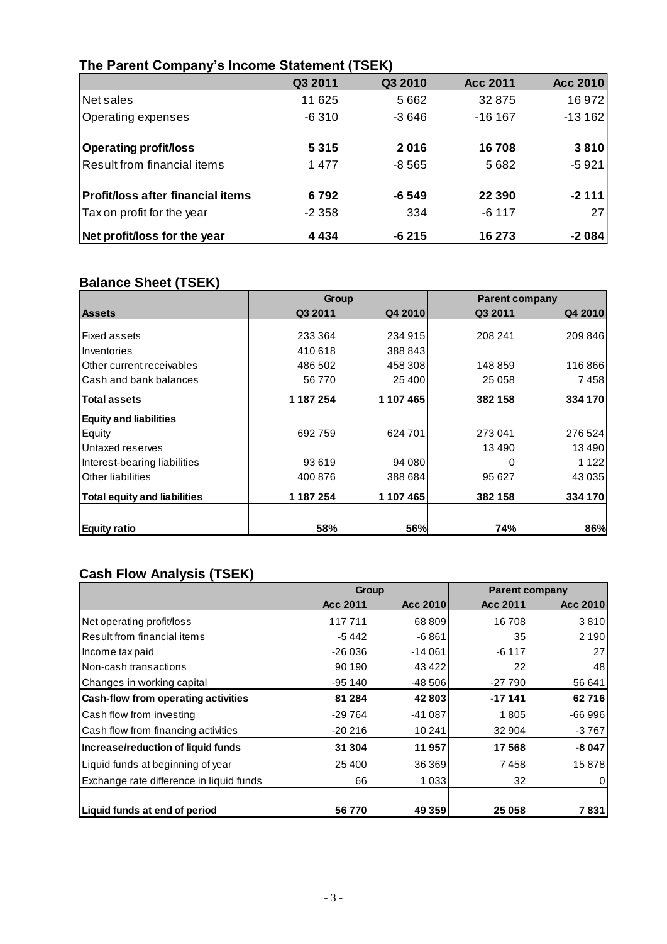|                                          | Q3 2011 | Q3 2010 | <b>Acc 2011</b> | Acc 2010        |
|------------------------------------------|---------|---------|-----------------|-----------------|
| Net sales                                | 11 625  | 5662    | 32 875          | 16 972          |
| Operating expenses                       | $-6310$ | $-3646$ | $-16167$        | $-13162$        |
| <b>Operating profit/loss</b>             | 5315    | 2016    | 16708           | 3810            |
| Result from financial items              | 1477    | $-8565$ | 5682            | $-5921$         |
| <b>Profit/loss after financial items</b> | 6792    | -6 549  | 22 3 9 0        | $-2111$         |
| Tax on profit for the year               | $-2358$ | 334     | $-6117$         | 27 <sup>1</sup> |
| Net profit/loss for the year             | 4 4 3 4 | $-6215$ | 16 273          | $-2084$         |

## **The Parent Company's Income Statement (TSEK)**

## **Balance Sheet (TSEK)**

|                                     | Group     |           | <b>Parent company</b> |         |
|-------------------------------------|-----------|-----------|-----------------------|---------|
| <b>Assets</b>                       | Q3 2011   | Q4 2010   | Q3 2011               | Q4 2010 |
|                                     |           |           |                       |         |
| <b>Fixed assets</b>                 | 233 364   | 234 915   | 208 241               | 209 846 |
| Inventories                         | 410 618   | 388 843   |                       |         |
| Other current receivables           | 486 502   | 458 308   | 148859                | 116866  |
| Cash and bank balances              | 56 770    | 25 400    | 25 0 58               | 7458    |
| <b>Total assets</b>                 | 1 187 254 | 1 107 465 | 382 158               | 334 170 |
| <b>Equity and liabilities</b>       |           |           |                       |         |
| Equity                              | 692759    | 624 701   | 273 041               | 276 524 |
| Untaxed reserves                    |           |           | 13490                 | 13490   |
| Interest-bearing liabilities        | 93 619    | 94 080    | 0                     | 1 1 2 2 |
| Other liabilities                   | 400 876   | 388 684   | 95 627                | 43 0 35 |
| <b>Total equity and liabilities</b> | 1 187 254 | 1 107 465 | 382 158               | 334 170 |
| <b>Equity ratio</b>                 | 58%       | 56%       | 74%                   | 86%     |

## **Cash Flow Analysis (TSEK)**

|                                          | Group    |          | <b>Parent company</b> |          |
|------------------------------------------|----------|----------|-----------------------|----------|
|                                          | Acc 2011 | Acc 2010 | Acc 2011              | Acc 2010 |
| Net operating profit/loss                | 117711   | 68 809   | 16708                 | 3810     |
| Result from financial items              | $-5442$  | $-6861$  | 35                    | 2 1 9 0  |
| Income tax paid                          | $-26036$ | $-14061$ | $-6117$               | 27       |
| Non-cash transactions                    | 90 190   | 43 4 22  | 22                    | 48       |
| Changes in working capital               | $-95140$ | $-48506$ | $-27790$              | 56 641   |
| Cash-flow from operating activities      | 81 284   | 42 803   | $-17141$              | 62716    |
| Cash flow from investing                 | $-29764$ | $-41087$ | 1805                  | $-66996$ |
| Cash flow from financing activities      | $-20216$ | 10 241   | 32 904                | -3 767   |
| Increase/reduction of liquid funds       | 31 304   | 11957    | 17568                 | $-8047$  |
| Liquid funds at beginning of year        | 25 400   | 36 369   | 7458                  | 15878    |
| Exchange rate difference in liquid funds | 66       | 1 0 3 3  | 32                    | 0        |
|                                          |          |          |                       |          |
| Liquid funds at end of period            | 56770    | 49 359   | 25 058                | 7831     |